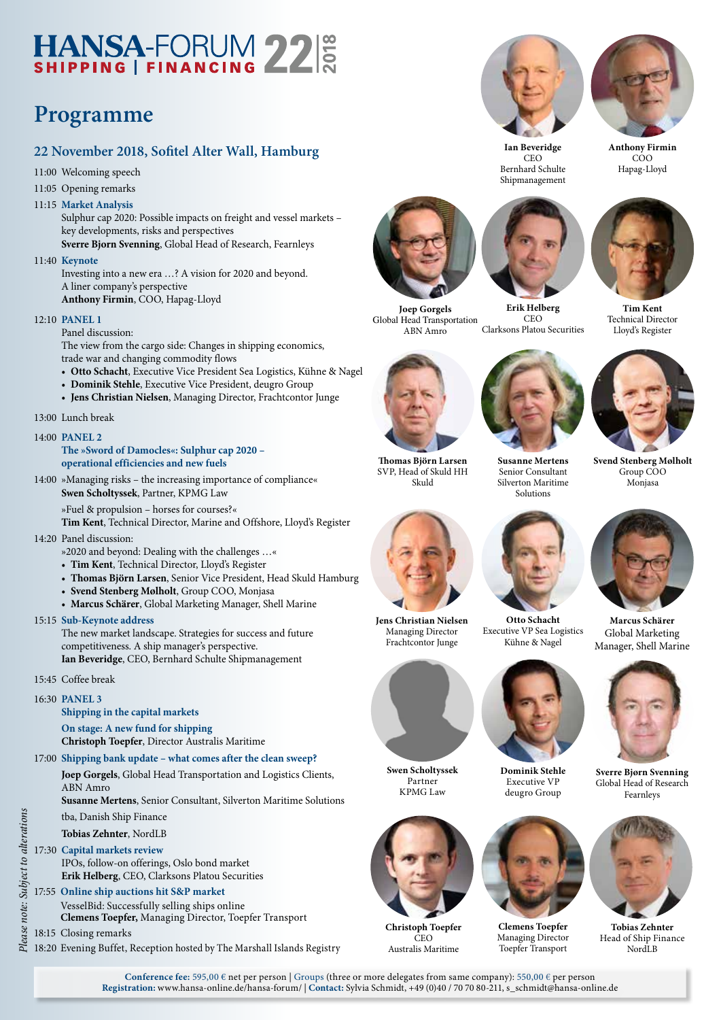# HANSA-FORUM 22

### **Programme**

#### **22 November 2018, Sofitel Alter Wall, Hamburg**

- 11:00 Welcoming speech
- 11:05 Opening remarks
- 11:15 **Market Analysis**

 Sulphur cap 2020: Possible impacts on freight and vessel markets – key developments, risks and perspectives

**Sverre Bjorn Svenning**, Global Head of Research, Fearnleys 11:40 **Keynote**

 Investing into a new era …? A vision for 2020 and beyond. A liner company's perspective **Anthony Firmin**, COO, Hapag-Lloyd

12:10 **PANEL 1**

Panel discussion:

 The view from the cargo side: Changes in shipping economics, trade war and changing commodity flows

- **Otto Schacht**, Executive Vice President Sea Logistics, Kühne & Nagel
- **Dominik Stehle**, Executive Vice President, deugro Group
- **Jens Christian Nielsen**, Managing Director, Frachtcontor Junge

#### 13:00 Lunch break

#### 14:00 **PANEL 2**

**The »Sword of Damocles«: Sulphur cap 2020 – operational efficiencies and new fuels**

- 14:00 »Managing risks the increasing importance of compliance« **Swen Scholtyssek**, Partner, KPMG Law
	- »Fuel & propulsion horses for courses?«

**Tim Kent**, Technical Director, Marine and Offshore, Lloyd's Register

- 14:20 Panel discussion:
	- »2020 and beyond: Dealing with the challenges …«
	- **Tim Kent**, Technical Director, Lloyd's Register
	- **Thomas Björn Larsen**, Senior Vice President, Head Skuld Hamburg
	- **Svend Stenberg Mølholt**, Group COO, Monjasa
	- **Marcus Schärer**, Global Marketing Manager, Shell Marine

#### 15:15 **Sub-Keynote address**

The new market landscape. Strategies for success and future competitiveness. A ship manager's perspective.

**Ian Beveridge**, CEO, Bernhard Schulte Shipmanagement

- 15:45 Coffee break
- 16:30 **PANEL 3**

#### **Shipping in the capital markets**

**On stage: A new fund for shipping Christoph Toepfer**, Director Australis Maritime

- 17:00 **Shipping bank update what comes after the clean sweep?**
	- **Joep Gorgels**, Global Head Transportation and Logistics Clients,

ABN Amro<br>Susanne Mertens, Senior Consultant, Silverton Maritime Solutions **Susanne Mertens**, Senior Consultant, Silverton Maritime Solutions

tba, Danish Ship Finance

#### **Tobias Zehnter**, NordLB

#### 17:30 **Capital markets review**

IPOs, follow-on offerings, Oslo bond market **Erik Helberg**, CEO, Clarksons Platou Securities

#### 17:55 **Online ship auctions hit S&P market**

VesselBid: Successfully selling ships online

**Clemens Toepfer,** Managing Director, Toepfer Transport

18:15 Closing remarks

*Please note: Subject to alterations* 18:20 Evening Buffet, Reception hosted by The Marshall Islands Registry



**Joep Gorgels** Global Head Transportation ABN Amro **Erik Helberg**  Clarksons Platou Securities



SVP, Head of Skuld HH Skuld



 $CFO$ 



**Svend Stenberg Mølholt** Group COO Monjasa

**Tim Kent** Technical Director Lloyd's Register

**Susanne Mertens** Senior Consultant Silverton Maritime Solutions



Executive VP Sea Logistics Kühne & Nagel



**Dominik Stehle** Executive VP deugro Group



**Clemens Toepfer** Managing Director Toepfer Transport



**Marcus Schärer** Global Marketing Manager, Shell Marine



**Sverre Bjørn Svenning** Global Head of Research Fearnleys



**Tobias Zehnter** Head of Ship Finance NordLB

**Conference fee:** 595,00 € net per person | Groups (three or more delegates from same company): 550,00 € per person **Registration:** www.hansa-online.de/hansa-forum/ | **Contact:** Sylvia Schmidt, +49 (0)40 / 70 70 80-211, s\_schmidt@hansa-online.de

**Christoph Toepfer**  $\overline{C}$ EO Australis Maritime

**Swen Scholtyssek** Partner KPMG Law

**Jens Christian Nielsen** Managing Director Frachtcontor Junge



CEO Bernhard Schulte Shipmanagement